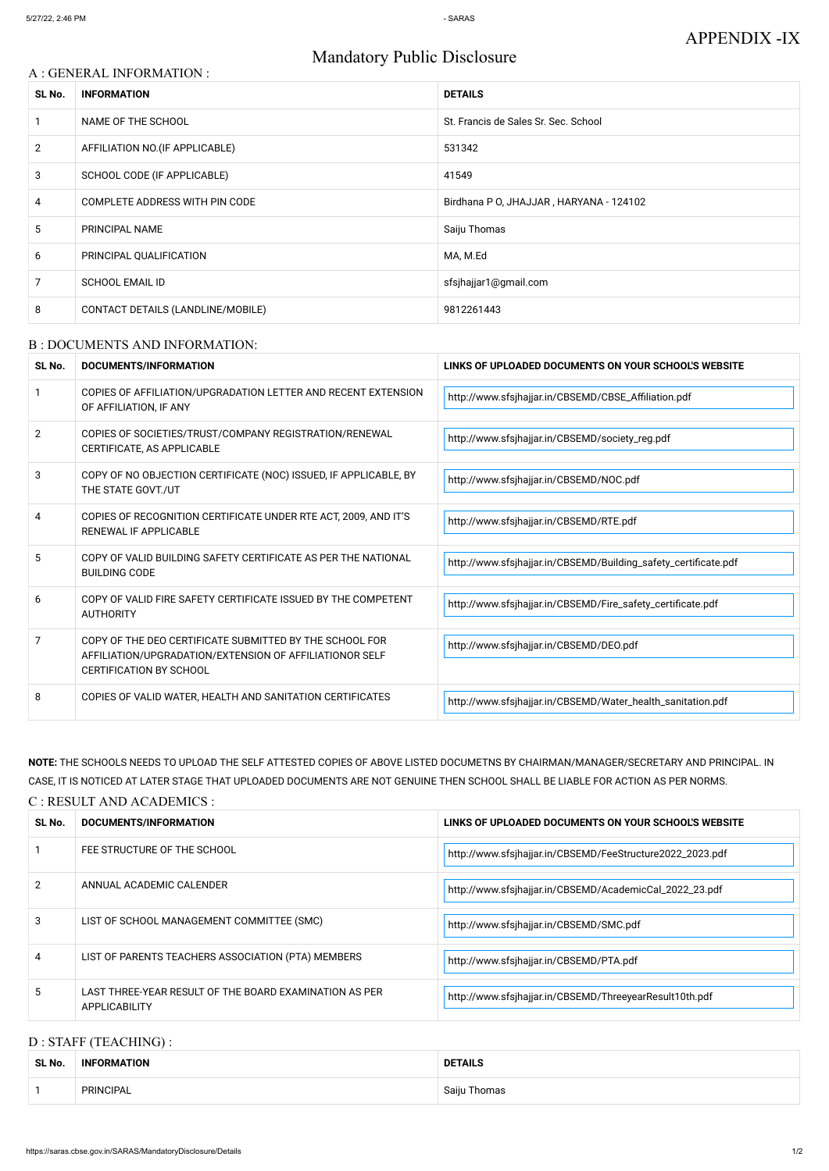# Mandatory Public Disclosure

# A : GENERAL INFORMATION :

| SL No.         | <b>INFORMATION</b>                | <b>DETAILS</b>                          |  |
|----------------|-----------------------------------|-----------------------------------------|--|
|                | NAME OF THE SCHOOL                | St. Francis de Sales Sr. Sec. School    |  |
| $\overline{2}$ | AFFILIATION NO. (IF APPLICABLE)   | 531342                                  |  |
| 3              | SCHOOL CODE (IF APPLICABLE)       | 41549                                   |  |
| $\overline{4}$ | COMPLETE ADDRESS WITH PIN CODE    | Birdhana P O, JHAJJAR, HARYANA - 124102 |  |
| 5              | PRINCIPAL NAME                    | Saiju Thomas                            |  |
| 6              | PRINCIPAL QUALIFICATION           | MA, M.Ed                                |  |
| 7              | <b>SCHOOL EMAIL ID</b>            | sfsjhajjar1@gmail.com                   |  |
| 8              | CONTACT DETAILS (LANDLINE/MOBILE) | 9812261443                              |  |

### B : DOCUMENTS AND INFORMATION:

| SL No. | <b>DOCUMENTS/INFORMATION</b>                                                                                                                         | LINKS OF UPLOADED DOCUMENTS ON YOUR SCHOOL'S WEBSITE            |
|--------|------------------------------------------------------------------------------------------------------------------------------------------------------|-----------------------------------------------------------------|
|        | COPIES OF AFFILIATION/UPGRADATION LETTER AND RECENT EXTENSION<br>OF AFFILIATION, IF ANY                                                              | http://www.sfsjhajjar.in/CBSEMD/CBSE_Affiliation.pdf            |
| 2      | COPIES OF SOCIETIES/TRUST/COMPANY REGISTRATION/RENEWAL<br>CERTIFICATE, AS APPLICABLE                                                                 | http://www.sfsjhajjar.in/CBSEMD/society_reg.pdf                 |
| 3      | COPY OF NO OBJECTION CERTIFICATE (NOC) ISSUED, IF APPLICABLE, BY<br>THE STATE GOVT./UT                                                               | http://www.sfsjhajjar.in/CBSEMD/NOC.pdf                         |
| 4      | COPIES OF RECOGNITION CERTIFICATE UNDER RTE ACT, 2009, AND IT'S<br>RENEWAL IF APPLICABLE                                                             | http://www.sfsjhajjar.in/CBSEMD/RTE.pdf                         |
| 5      | COPY OF VALID BUILDING SAFETY CERTIFICATE AS PER THE NATIONAL<br><b>BUILDING CODE</b>                                                                | http://www.sfsjhajjar.in/CBSEMD/Building_safety_certificate.pdf |
| 6      | COPY OF VALID FIRE SAFETY CERTIFICATE ISSUED BY THE COMPETENT<br><b>AUTHORITY</b>                                                                    | http://www.sfsjhajjar.in/CBSEMD/Fire_safety_certificate.pdf     |
| 7      | COPY OF THE DEO CERTIFICATE SUBMITTED BY THE SCHOOL FOR<br>AFFILIATION/UPGRADATION/EXTENSION OF AFFILIATIONOR SELF<br><b>CERTIFICATION BY SCHOOL</b> | http://www.sfsjhajjar.in/CBSEMD/DEO.pdf                         |
| 8      | COPIES OF VALID WATER, HEALTH AND SANITATION CERTIFICATES                                                                                            | http://www.sfsjhajjar.in/CBSEMD/Water_health_sanitation.pdf     |

**NOTE:** THE SCHOOLS NEEDS TO UPLOAD THE SELF ATTESTED COPIES OF ABOVE LISTED DOCUMETNS BY CHAIRMAN/MANAGER/SECRETARY AND PRINCIPAL. IN CASE, IT IS NOTICED AT LATER STAGE THAT UPLOADED DOCUMENTS ARE NOT GENUINE THEN SCHOOL SHALL BE LIABLE FOR ACTION AS PER NORMS.

## C : RESULT AND ACADEMICS :

| SL No. | DOCUMENTS/INFORMATION       | LINKS OF UPLOADED DOCUMENTS ON YOUR SCHOOL'S WEBSITE      |  |
|--------|-----------------------------|-----------------------------------------------------------|--|
|        | FEE STRUCTURE OF THE SCHOOL | http://www.sfsjhajjar.in/CBSEMD/FeeStructure2022_2023.pdf |  |
| C.     | ANNUIAL ACADEMIC CALENDED   |                                                           |  |

|   | ANNUAL ACADEMIC CALENDER                                                | http://www.sfsjhajjar.in/CBSEMD/AcademicCal_2022_23.pdf |
|---|-------------------------------------------------------------------------|---------------------------------------------------------|
|   | LIST OF SCHOOL MANAGEMENT COMMITTEE (SMC)                               | http://www.sfsjhajjar.in/CBSEMD/SMC.pdf                 |
| 4 | LIST OF PARENTS TEACHERS ASSOCIATION (PTA) MEMBERS                      | http://www.sfsjhajjar.in/CBSEMD/PTA.pdf                 |
| ა | LAST THREE-YEAR RESULT OF THE BOARD EXAMINATION AS PER<br>APPLICABILITY | http://www.sfsjhajjar.in/CBSEMD/ThreeyearResult10th.pdf |

# D : STAFF (TEACHING) :

| SL No. | <b>INFORMATION</b> | <b>DETAILS</b> |
|--------|--------------------|----------------|
|        | <b>PRINCIPAL</b>   | Saiju Thomas   |